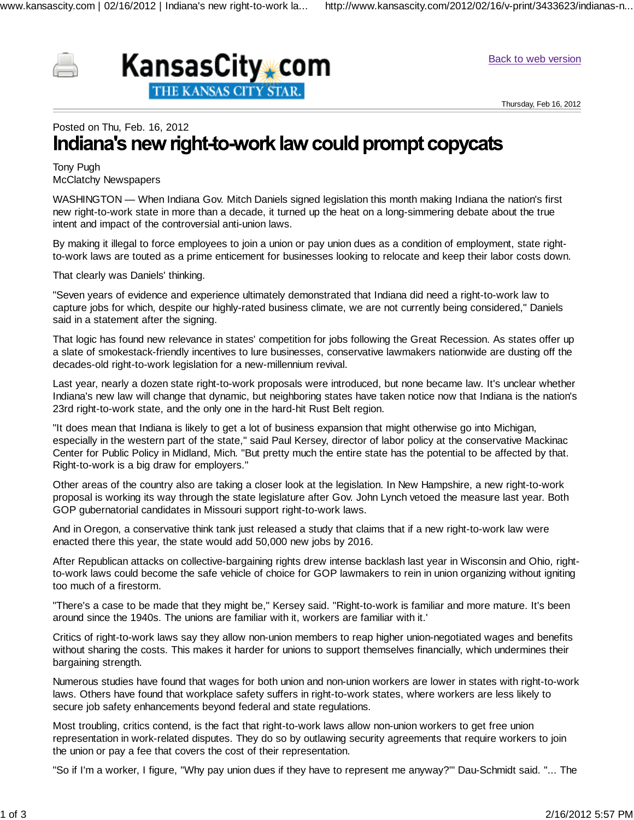



Back to web version

Thursday, Feb 16, 2012

## Posted on Thu, Feb. 16, 2012 Indiana's new right-to-work law could prompt copycats

Tony Pugh McClatchy Newspapers

WASHINGTON — When Indiana Gov. Mitch Daniels signed legislation this month making Indiana the nation's first new right-to-work state in more than a decade, it turned up the heat on a long-simmering debate about the true intent and impact of the controversial anti-union laws.

By making it illegal to force employees to join a union or pay union dues as a condition of employment, state rightto-work laws are touted as a prime enticement for businesses looking to relocate and keep their labor costs down.

That clearly was Daniels' thinking.

"Seven years of evidence and experience ultimately demonstrated that Indiana did need a right-to-work law to capture jobs for which, despite our highly-rated business climate, we are not currently being considered," Daniels said in a statement after the signing.

That logic has found new relevance in states' competition for jobs following the Great Recession. As states offer up a slate of smokestack-friendly incentives to lure businesses, conservative lawmakers nationwide are dusting off the decades-old right-to-work legislation for a new-millennium revival.

Last year, nearly a dozen state right-to-work proposals were introduced, but none became law. It's unclear whether Indiana's new law will change that dynamic, but neighboring states have taken notice now that Indiana is the nation's 23rd right-to-work state, and the only one in the hard-hit Rust Belt region.

"It does mean that Indiana is likely to get a lot of business expansion that might otherwise go into Michigan, especially in the western part of the state," said Paul Kersey, director of labor policy at the conservative Mackinac Center for Public Policy in Midland, Mich. "But pretty much the entire state has the potential to be affected by that. Right-to-work is a big draw for employers."

Other areas of the country also are taking a closer look at the legislation. In New Hampshire, a new right-to-work proposal is working its way through the state legislature after Gov. John Lynch vetoed the measure last year. Both GOP gubernatorial candidates in Missouri support right-to-work laws.

And in Oregon, a conservative think tank just released a study that claims that if a new right-to-work law were enacted there this year, the state would add 50,000 new jobs by 2016.

After Republican attacks on collective-bargaining rights drew intense backlash last year in Wisconsin and Ohio, rightto-work laws could become the safe vehicle of choice for GOP lawmakers to rein in union organizing without igniting too much of a firestorm.

"There's a case to be made that they might be," Kersey said. "Right-to-work is familiar and more mature. It's been around since the 1940s. The unions are familiar with it, workers are familiar with it.'

Critics of right-to-work laws say they allow non-union members to reap higher union-negotiated wages and benefits without sharing the costs. This makes it harder for unions to support themselves financially, which undermines their bargaining strength.

Numerous studies have found that wages for both union and non-union workers are lower in states with right-to-work laws. Others have found that workplace safety suffers in right-to-work states, where workers are less likely to secure job safety enhancements beyond federal and state regulations.

Most troubling, critics contend, is the fact that right-to-work laws allow non-union workers to get free union representation in work-related disputes. They do so by outlawing security agreements that require workers to join the union or pay a fee that covers the cost of their representation.

"So if I'm a worker, I figure, "Why pay union dues if they have to represent me anyway?'" Dau-Schmidt said. "... The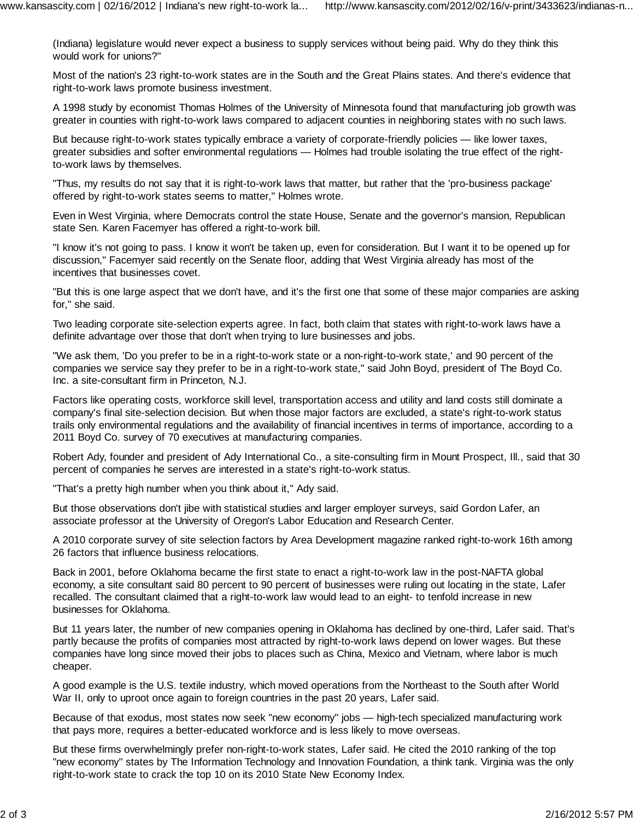(Indiana) legislature would never expect a business to supply services without being paid. Why do they think this would work for unions?"

Most of the nation's 23 right-to-work states are in the South and the Great Plains states. And there's evidence that right-to-work laws promote business investment.

A 1998 study by economist Thomas Holmes of the University of Minnesota found that manufacturing job growth was greater in counties with right-to-work laws compared to adjacent counties in neighboring states with no such laws.

But because right-to-work states typically embrace a variety of corporate-friendly policies — like lower taxes, greater subsidies and softer environmental regulations — Holmes had trouble isolating the true effect of the rightto-work laws by themselves.

"Thus, my results do not say that it is right-to-work laws that matter, but rather that the 'pro-business package' offered by right-to-work states seems to matter," Holmes wrote.

Even in West Virginia, where Democrats control the state House, Senate and the governor's mansion, Republican state Sen. Karen Facemyer has offered a right-to-work bill.

"I know it's not going to pass. I know it won't be taken up, even for consideration. But I want it to be opened up for discussion," Facemyer said recently on the Senate floor, adding that West Virginia already has most of the incentives that businesses covet.

"But this is one large aspect that we don't have, and it's the first one that some of these major companies are asking for," she said.

Two leading corporate site-selection experts agree. In fact, both claim that states with right-to-work laws have a definite advantage over those that don't when trying to lure businesses and jobs.

"We ask them, 'Do you prefer to be in a right-to-work state or a non-right-to-work state,' and 90 percent of the companies we service say they prefer to be in a right-to-work state," said John Boyd, president of The Boyd Co. Inc. a site-consultant firm in Princeton, N.J.

Factors like operating costs, workforce skill level, transportation access and utility and land costs still dominate a company's final site-selection decision. But when those major factors are excluded, a state's right-to-work status trails only environmental regulations and the availability of financial incentives in terms of importance, according to a 2011 Boyd Co. survey of 70 executives at manufacturing companies.

Robert Ady, founder and president of Ady International Co., a site-consulting firm in Mount Prospect, Ill., said that 30 percent of companies he serves are interested in a state's right-to-work status.

"That's a pretty high number when you think about it," Ady said.

But those observations don't jibe with statistical studies and larger employer surveys, said Gordon Lafer, an associate professor at the University of Oregon's Labor Education and Research Center.

A 2010 corporate survey of site selection factors by Area Development magazine ranked right-to-work 16th among 26 factors that influence business relocations.

Back in 2001, before Oklahoma became the first state to enact a right-to-work law in the post-NAFTA global economy, a site consultant said 80 percent to 90 percent of businesses were ruling out locating in the state, Lafer recalled. The consultant claimed that a right-to-work law would lead to an eight- to tenfold increase in new businesses for Oklahoma.

But 11 years later, the number of new companies opening in Oklahoma has declined by one-third, Lafer said. That's partly because the profits of companies most attracted by right-to-work laws depend on lower wages. But these companies have long since moved their jobs to places such as China, Mexico and Vietnam, where labor is much cheaper.

A good example is the U.S. textile industry, which moved operations from the Northeast to the South after World War II, only to uproot once again to foreign countries in the past 20 years, Lafer said.

Because of that exodus, most states now seek "new economy" jobs — high-tech specialized manufacturing work that pays more, requires a better-educated workforce and is less likely to move overseas.

But these firms overwhelmingly prefer non-right-to-work states, Lafer said. He cited the 2010 ranking of the top "new economy" states by The Information Technology and Innovation Foundation, a think tank. Virginia was the only right-to-work state to crack the top 10 on its 2010 State New Economy Index.